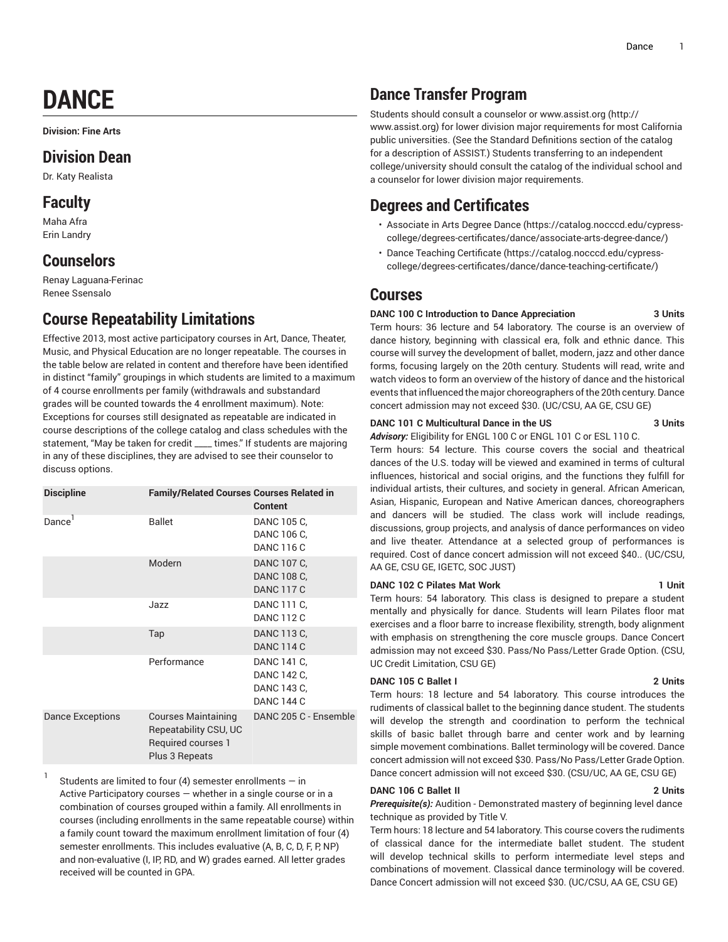# **DANCE**

**Division: Fine Arts**

## **Division Dean**

Dr. Katy Realista

## **Faculty**

Maha Afra Erin Landry

1

## **Counselors**

Renay Laguana-Ferinac Renee Ssensalo

## **Course Repeatability Limitations**

Effective 2013, most active participatory courses in Art, Dance, Theater, Music, and Physical Education are no longer repeatable. The courses in the table below are related in content and therefore have been identified in distinct "family" groupings in which students are limited to a maximum of 4 course enrollments per family (withdrawals and substandard grades will be counted towards the 4 enrollment maximum). Note: Exceptions for courses still designated as repeatable are indicated in course descriptions of the college catalog and class schedules with the statement, "May be taken for credit \_\_\_\_ times." If students are majoring in any of these disciplines, they are advised to see their counselor to discuss options.

| <b>Discipline</b>       | <b>Family/Related Courses Courses Related in</b>                                            | <b>Content</b>                                                 |
|-------------------------|---------------------------------------------------------------------------------------------|----------------------------------------------------------------|
| Dance                   | <b>Ballet</b>                                                                               | DANC 105 C.<br>DANC 106 C,<br>DANC 116 C                       |
|                         | Modern                                                                                      | DANC 107 C,<br>DANC 108 C,<br><b>DANC 117 C</b>                |
|                         | Jazz                                                                                        | DANC 111 C,<br><b>DANC 112 C</b>                               |
|                         | Tap                                                                                         | DANC 113 C,<br><b>DANC 114 C</b>                               |
|                         | Performance                                                                                 | DANC 141 C,<br>DANC 142 C,<br>DANC 143 C,<br><b>DANC 144 C</b> |
| <b>Dance Exceptions</b> | <b>Courses Maintaining</b><br>Repeatability CSU, UC<br>Required courses 1<br>Plus 3 Repeats | DANC 205 C - Ensemble                                          |

Students are limited to four (4) semester enrollments  $-$  in Active Participatory courses — whether in a single course or in a combination of courses grouped within a family. All enrollments in courses (including enrollments in the same repeatable course) within a family count toward the maximum enrollment limitation of four (4) semester enrollments. This includes evaluative (A, B, C, D, F, P, NP) and non-evaluative (I, IP, RD, and W) grades earned. All letter grades received will be counted in GPA.

## **Dance Transfer Program**

Students should consult a counselor or [www.assist.org \(http://](http://www.assist.org) [www.assist.org\)](http://www.assist.org) for lower division major requirements for most California public universities. (See the Standard Definitions section of the catalog for a description of ASSIST.) Students transferring to an independent college/university should consult the catalog of the individual school and a counselor for lower division major requirements.

## **Degrees and Certificates**

- [Associate](https://catalog.nocccd.edu/cypress-college/degrees-certificates/dance/associate-arts-degree-dance/) in Arts Degree Dance ([https://catalog.nocccd.edu/cypress](https://catalog.nocccd.edu/cypress-college/degrees-certificates/dance/associate-arts-degree-dance/)[college/degrees-certificates/dance/associate-arts-degree-dance/](https://catalog.nocccd.edu/cypress-college/degrees-certificates/dance/associate-arts-degree-dance/))
- Dance Teaching [Certificate \(https://catalog.nocccd.edu/cypress](https://catalog.nocccd.edu/cypress-college/degrees-certificates/dance/dance-teaching-certificate/)[college/degrees-certificates/dance/dance-teaching-certificate/](https://catalog.nocccd.edu/cypress-college/degrees-certificates/dance/dance-teaching-certificate/))

## **Courses**

### **DANC 100 C Introduction to Dance Appreciation 3 Units**

Term hours: 36 lecture and 54 laboratory. The course is an overview of dance history, beginning with classical era, folk and ethnic dance. This course will survey the development of ballet, modern, jazz and other dance forms, focusing largely on the 20th century. Students will read, write and watch videos to form an overview of the history of dance and the historical events that influenced the major choreographers of the 20th century. Dance concert admission may not exceed \$30. (UC/CSU, AA GE, CSU GE)

### **DANC 101 C Multicultural Dance in the US 3 Units**

*Advisory:* Eligibility for ENGL 100 C or ENGL 101 C or ESL 110 C. Term hours: 54 lecture. This course covers the social and theatrical dances of the U.S. today will be viewed and examined in terms of cultural influences, historical and social origins, and the functions they fulfill for individual artists, their cultures, and society in general. African American, Asian, Hispanic, European and Native American dances, choreographers and dancers will be studied. The class work will include readings, discussions, group projects, and analysis of dance performances on video and live theater. Attendance at a selected group of performances is required. Cost of dance concert admission will not exceed \$40.. (UC/CSU, AA GE, CSU GE, IGETC, SOC JUST)

### **DANC 102 C Pilates Mat Work 1 Unit**

Term hours: 54 laboratory. This class is designed to prepare a student mentally and physically for dance. Students will learn Pilates floor mat exercises and a floor barre to increase flexibility, strength, body alignment with emphasis on strengthening the core muscle groups. Dance Concert admission may not exceed \$30. Pass/No Pass/Letter Grade Option. (CSU, UC Credit Limitation, CSU GE)

### **DANC 105 C Ballet I 2 Units**

Term hours: 18 lecture and 54 laboratory. This course introduces the rudiments of classical ballet to the beginning dance student. The students will develop the strength and coordination to perform the technical skills of basic ballet through barre and center work and by learning simple movement combinations. Ballet terminology will be covered. Dance concert admission will not exceed \$30. Pass/No Pass/Letter Grade Option. Dance concert admission will not exceed \$30. (CSU/UC, AA GE, CSU GE)

### **DANC 106 C Ballet II 2 Units**

*Prerequisite(s):* Audition - Demonstrated mastery of beginning level dance technique as provided by Title V.

Term hours: 18 lecture and 54 laboratory. This course covers the rudiments of classical dance for the intermediate ballet student. The student will develop technical skills to perform intermediate level steps and combinations of movement. Classical dance terminology will be covered. Dance Concert admission will not exceed \$30. (UC/CSU, AA GE, CSU GE)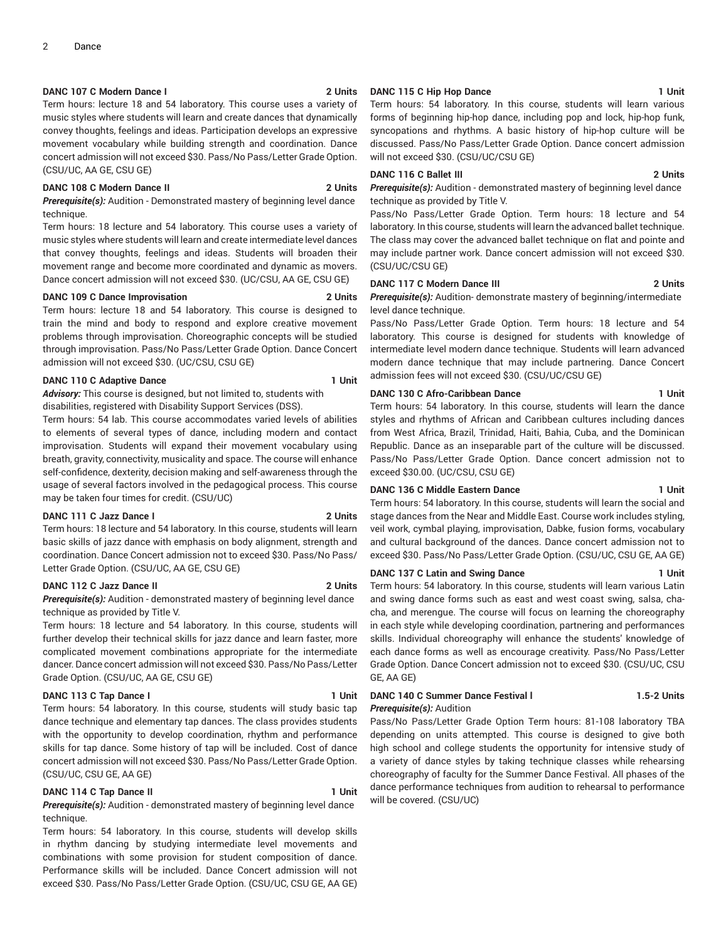### **DANC 107 C Modern Dance I 2 Units**

Term hours: lecture 18 and 54 laboratory. This course uses a variety of music styles where students will learn and create dances that dynamically convey thoughts, feelings and ideas. Participation develops an expressive movement vocabulary while building strength and coordination. Dance concert admission will not exceed \$30. Pass/No Pass/Letter Grade Option. (CSU/UC, AA GE, CSU GE)

#### **DANC 108 C Modern Dance II 2 Units**

*Prerequisite(s):* Audition - Demonstrated mastery of beginning level dance technique.

Term hours: 18 lecture and 54 laboratory. This course uses a variety of music styles where students will learn and create intermediate level dances that convey thoughts, feelings and ideas. Students will broaden their movement range and become more coordinated and dynamic as movers. Dance concert admission will not exceed \$30. (UC/CSU, AA GE, CSU GE)

#### **DANC 109 C Dance Improvisation 2 Units**

Term hours: lecture 18 and 54 laboratory. This course is designed to train the mind and body to respond and explore creative movement problems through improvisation. Choreographic concepts will be studied through improvisation. Pass/No Pass/Letter Grade Option. Dance Concert admission will not exceed \$30. (UC/CSU, CSU GE)

#### **DANC 110 C Adaptive Dance 1 Unit**

*Advisory:* This course is designed, but not limited to, students with disabilities, registered with Disability Support Services (DSS).

Term hours: 54 lab. This course accommodates varied levels of abilities to elements of several types of dance, including modern and contact improvisation. Students will expand their movement vocabulary using breath, gravity, connectivity, musicality and space. The course will enhance self-confidence, dexterity, decision making and self-awareness through the usage of several factors involved in the pedagogical process. This course may be taken four times for credit. (CSU/UC)

#### **DANC 111 C Jazz Dance I 2 Units**

Term hours: 18 lecture and 54 laboratory. In this course, students will learn basic skills of jazz dance with emphasis on body alignment, strength and coordination. Dance Concert admission not to exceed \$30. Pass/No Pass/ Letter Grade Option. (CSU/UC, AA GE, CSU GE)

#### **DANC 112 C Jazz Dance II 2 Units**

*Prerequisite(s):* Audition - demonstrated mastery of beginning level dance technique as provided by Title V.

Term hours: 18 lecture and 54 laboratory. In this course, students will further develop their technical skills for jazz dance and learn faster, more complicated movement combinations appropriate for the intermediate dancer. Dance concert admission will not exceed \$30. Pass/No Pass/Letter Grade Option. (CSU/UC, AA GE, CSU GE)

#### **DANC 113 C Tap Dance I 1 Unit**

Term hours: 54 laboratory. In this course, students will study basic tap dance technique and elementary tap dances. The class provides students with the opportunity to develop coordination, rhythm and performance skills for tap dance. Some history of tap will be included. Cost of dance concert admission will not exceed \$30. Pass/No Pass/Letter Grade Option. (CSU/UC, CSU GE, AA GE)

### **DANC 114 C Tap Dance II 1 Unit**

*Prerequisite(s):* Audition - demonstrated mastery of beginning level dance technique.

Term hours: 54 laboratory. In this course, students will develop skills in rhythm dancing by studying intermediate level movements and combinations with some provision for student composition of dance. Performance skills will be included. Dance Concert admission will not exceed \$30. Pass/No Pass/Letter Grade Option. (CSU/UC, CSU GE, AA GE)

### **DANC 115 C Hip Hop Dance 1 Unit**

Term hours: 54 laboratory. In this course, students will learn various forms of beginning hip-hop dance, including pop and lock, hip-hop funk, syncopations and rhythms. A basic history of hip-hop culture will be discussed. Pass/No Pass/Letter Grade Option. Dance concert admission will not exceed \$30. (CSU/UC/CSU GE)

#### **DANC 116 C Ballet III 2 Units**

*Prerequisite(s):* Audition - demonstrated mastery of beginning level dance technique as provided by Title V.

Pass/No Pass/Letter Grade Option. Term hours: 18 lecture and 54 laboratory. In this course, students will learn the advanced ballet technique. The class may cover the advanced ballet technique on flat and pointe and may include partner work. Dance concert admission will not exceed \$30. (CSU/UC/CSU GE)

#### **DANC 117 C Modern Dance III 2 Units**

*Prerequisite(s):* Audition- demonstrate mastery of beginning/intermediate level dance technique.

Pass/No Pass/Letter Grade Option. Term hours: 18 lecture and 54 laboratory. This course is designed for students with knowledge of intermediate level modern dance technique. Students will learn advanced modern dance technique that may include partnering. Dance Concert admission fees will not exceed \$30. (CSU/UC/CSU GE)

### **DANC 130 C Afro-Caribbean Dance 1 Unit**

Term hours: 54 laboratory. In this course, students will learn the dance styles and rhythms of African and Caribbean cultures including dances from West Africa, Brazil, Trinidad, Haiti, Bahia, Cuba, and the Dominican Republic. Dance as an inseparable part of the culture will be discussed. Pass/No Pass/Letter Grade Option. Dance concert admission not to exceed \$30.00. (UC/CSU, CSU GE)

### **DANC 136 C Middle Eastern Dance 1 Unit**

Term hours: 54 laboratory. In this course, students will learn the social and stage dances from the Near and Middle East. Course work includes styling, veil work, cymbal playing, improvisation, Dabke, fusion forms, vocabulary and cultural background of the dances. Dance concert admission not to exceed \$30. Pass/No Pass/Letter Grade Option. (CSU/UC, CSU GE, AA GE)

#### **DANC 137 C Latin and Swing Dance 1 Unit**

Term hours: 54 laboratory. In this course, students will learn various Latin and swing dance forms such as east and west coast swing, salsa, chacha, and merengue. The course will focus on learning the choreography in each style while developing coordination, partnering and performances skills. Individual choreography will enhance the students' knowledge of each dance forms as well as encourage creativity. Pass/No Pass/Letter Grade Option. Dance Concert admission not to exceed \$30. (CSU/UC, CSU GE, AA GE)

#### **DANC 140 C Summer Dance Festival l 1.5-2 Units** *Prerequisite(s):* Audition

Pass/No Pass/Letter Grade Option Term hours: 81-108 laboratory TBA depending on units attempted. This course is designed to give both high school and college students the opportunity for intensive study of a variety of dance styles by taking technique classes while rehearsing choreography of faculty for the Summer Dance Festival. All phases of the dance performance techniques from audition to rehearsal to performance will be covered. (CSU/UC)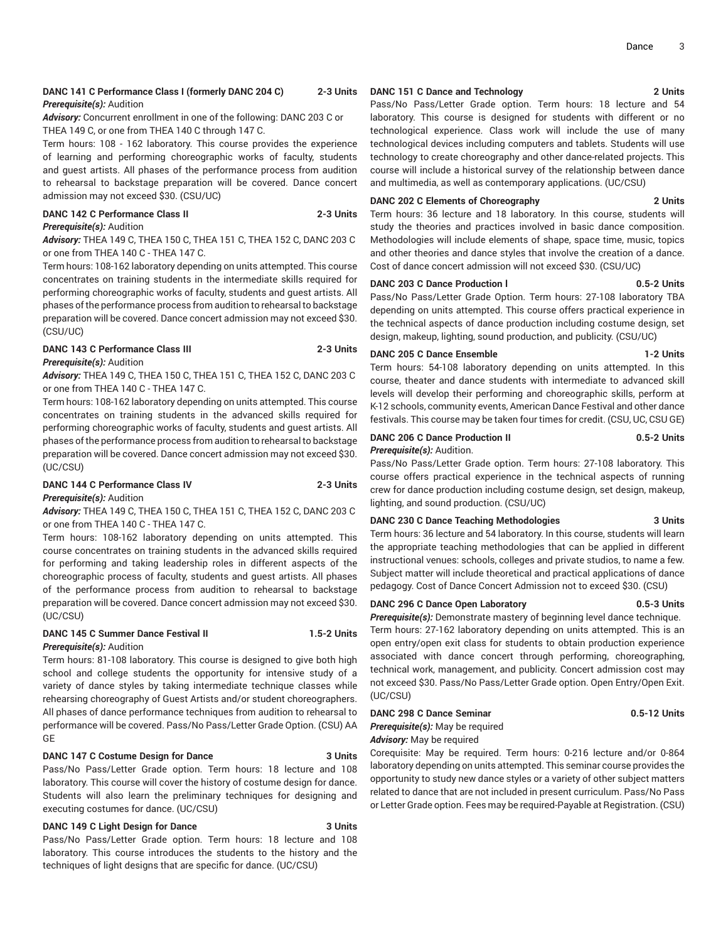#### **DANC 141 C Performance Class I (formerly DANC 204 C) 2-3 Units** *Prerequisite(s):* Audition

*Advisory:* Concurrent enrollment in one of the following: DANC 203 C or THEA 149 C, or one from THEA 140 C through 147 C.

Term hours: 108 - 162 laboratory. This course provides the experience of learning and performing choreographic works of faculty, students and guest artists. All phases of the performance process from audition to rehearsal to backstage preparation will be covered. Dance concert admission may not exceed \$30. (CSU/UC)

#### **DANC 142 C Performance Class II 2-3 Units** *Prerequisite(s):* Audition

*Advisory:* THEA 149 C, THEA 150 C, THEA 151 C, THEA 152 C, DANC 203 C or one from THEA 140 C - THEA 147 C.

Term hours: 108-162 laboratory depending on units attempted. This course concentrates on training students in the intermediate skills required for performing choreographic works of faculty, students and guest artists. All phases of the performance process from audition to rehearsal to backstage preparation will be covered. Dance concert admission may not exceed \$30. (CSU/UC)

#### **DANC 143 C Performance Class III 2-3 Units** *Prerequisite(s):* Audition

*Advisory:* THEA 149 C, THEA 150 C, THEA 151 C, THEA 152 C, DANC 203 C or one from THEA 140 C - THEA 147 C.

Term hours: 108-162 laboratory depending on units attempted. This course concentrates on training students in the advanced skills required for performing choreographic works of faculty, students and guest artists. All phases of the performance process from audition to rehearsal to backstage preparation will be covered. Dance concert admission may not exceed \$30. (UC/CSU)

#### **DANC 144 C Performance Class IV 2-3 Units** *Prerequisite(s):* Audition

*Advisory:* THEA 149 C, THEA 150 C, THEA 151 C, THEA 152 C, DANC 203 C or one from THEA 140 C - THEA 147 C.

Term hours: 108-162 laboratory depending on units attempted. This course concentrates on training students in the advanced skills required for performing and taking leadership roles in different aspects of the choreographic process of faculty, students and guest artists. All phases of the performance process from audition to rehearsal to backstage preparation will be covered. Dance concert admission may not exceed \$30. (UC/CSU)

#### **DANC 145 C Summer Dance Festival II 1.5-2 Units**

*Prerequisite(s):* Audition

Term hours: 81-108 laboratory. This course is designed to give both high school and college students the opportunity for intensive study of a variety of dance styles by taking intermediate technique classes while rehearsing choreography of Guest Artists and/or student choreographers. All phases of dance performance techniques from audition to rehearsal to performance will be covered. Pass/No Pass/Letter Grade Option. (CSU) AA GE

#### **DANC 147 C Costume Design for Dance 3 Units**

Pass/No Pass/Letter Grade option. Term hours: 18 lecture and 108 laboratory. This course will cover the history of costume design for dance. Students will also learn the preliminary techniques for designing and executing costumes for dance. (UC/CSU)

### **DANC 149 C Light Design for Dance 3 Units**

Pass/No Pass/Letter Grade option. Term hours: 18 lecture and 108 laboratory. This course introduces the students to the history and the techniques of light designs that are specific for dance. (UC/CSU)

#### **DANC 151 C Dance and Technology 2 Units**

Pass/No Pass/Letter Grade option. Term hours: 18 lecture and 54 laboratory. This course is designed for students with different or no technological experience. Class work will include the use of many technological devices including computers and tablets. Students will use technology to create choreography and other dance-related projects. This course will include a historical survey of the relationship between dance and multimedia, as well as contemporary applications. (UC/CSU)

#### **DANC 202 C Elements of Choreography 2 Units**

Term hours: 36 lecture and 18 laboratory. In this course, students will study the theories and practices involved in basic dance composition. Methodologies will include elements of shape, space time, music, topics and other theories and dance styles that involve the creation of a dance. Cost of dance concert admission will not exceed \$30. (CSU/UC)

#### **DANC 203 C Dance Production l 0.5-2 Units**

Pass/No Pass/Letter Grade Option. Term hours: 27-108 laboratory TBA depending on units attempted. This course offers practical experience in the technical aspects of dance production including costume design, set design, makeup, lighting, sound production, and publicity. (CSU/UC)

#### **DANC 205 C Dance Ensemble 1-2 Units**

Term hours: 54-108 laboratory depending on units attempted. In this course, theater and dance students with intermediate to advanced skill levels will develop their performing and choreographic skills, perform at K-12 schools, community events, American Dance Festival and other dance festivals. This course may be taken four times for credit. (CSU, UC, CSU GE)

#### **DANC 206 C Dance Production II 0.5-2 Units**

*Prerequisite(s):* Audition.

Pass/No Pass/Letter Grade option. Term hours: 27-108 laboratory. This course offers practical experience in the technical aspects of running crew for dance production including costume design, set design, makeup, lighting, and sound production. (CSU/UC)

#### **DANC 230 C Dance Teaching Methodologies 3 Units**

Term hours: 36 lecture and 54 laboratory. In this course, students will learn the appropriate teaching methodologies that can be applied in different instructional venues: schools, colleges and private studios, to name a few. Subject matter will include theoretical and practical applications of dance pedagogy. Cost of Dance Concert Admission not to exceed \$30. (CSU)

#### **DANC 296 C Dance Open Laboratory 0.5-3 Units**

*Prerequisite(s):* Demonstrate mastery of beginning level dance technique. Term hours: 27-162 laboratory depending on units attempted. This is an open entry/open exit class for students to obtain production experience associated with dance concert through performing, choreographing, technical work, management, and publicity. Concert admission cost may not exceed \$30. Pass/No Pass/Letter Grade option. Open Entry/Open Exit. (UC/CSU)

### **DANC 298 C Dance Seminar 0.5-12 Units**

*Prerequisite(s):* May be required

### *Advisory:* May be required

Corequisite: May be required. Term hours: 0-216 lecture and/or 0-864 laboratory depending on units attempted. This seminar course provides the opportunity to study new dance styles or a variety of other subject matters related to dance that are not included in present curriculum. Pass/No Pass or Letter Grade option. Fees may be required-Payable at Registration. (CSU)